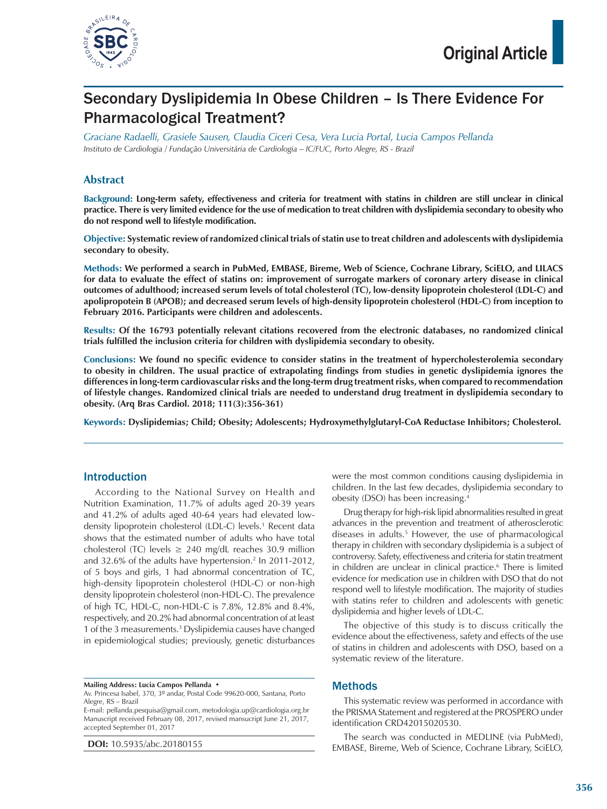

## Secondary Dyslipidemia In Obese Children – Is There Evidence For Pharmacological Treatment?

*Graciane Radaelli, Grasiele Sausen, Claudia Ciceri Cesa, Vera Lucia Portal, Lucia Campos Pellanda Instituto de Cardiologia / Fundação Universitária de Cardiologia – IC/FUC, Porto Alegre, RS - Brazil*

#### **Abstract**

**Background: Long-term safety, effectiveness and criteria for treatment with statins in children are still unclear in clinical practice. There is very limited evidence for the use of medication to treat children with dyslipidemia secondary to obesity who do not respond well to lifestyle modification.**

**Objective: Systematic review of randomized clinical trials of statin use to treat children and adolescents with dyslipidemia secondary to obesity.**

**Methods: We performed a search in PubMed, EMBASE, Bireme, Web of Science, Cochrane Library, SciELO, and LILACS for data to evaluate the effect of statins on: improvement of surrogate markers of coronary artery disease in clinical outcomes of adulthood; increased serum levels of total cholesterol (TC), low-density lipoprotein cholesterol (LDL-C) and apolipropotein B (APOB); and decreased serum levels of high-density lipoprotein cholesterol (HDL-C) from inception to February 2016. Participants were children and adolescents.**

**Results: Of the 16793 potentially relevant citations recovered from the electronic databases, no randomized clinical trials fulfilled the inclusion criteria for children with dyslipidemia secondary to obesity.**

**Conclusions: We found no specific evidence to consider statins in the treatment of hypercholesterolemia secondary to obesity in children. The usual practice of extrapolating findings from studies in genetic dyslipidemia ignores the differences in long-term cardiovascular risks and the long-term drug treatment risks, when compared to recommendation of lifestyle changes. Randomized clinical trials are needed to understand drug treatment in dyslipidemia secondary to obesity. (Arq Bras Cardiol. 2018; 111(3):356-361)**

**Keywords: Dyslipidemias; Child; Obesity; Adolescents; Hydroxymethylglutaryl-CoA Reductase Inhibitors; Cholesterol.**

#### Introduction

According to the National Survey on Health and Nutrition Examination, 11.7% of adults aged 20-39 years and 41.2% of adults aged 40-64 years had elevated lowdensity lipoprotein cholesterol (LDL-C) levels.1 Recent data shows that the estimated number of adults who have total cholesterol (TC) levels  $\geq$  240 mg/dL reaches 30.9 million and 32.6% of the adults have hypertension.<sup>2</sup> In 2011-2012, of 5 boys and girls, 1 had abnormal concentration of TC, high-density lipoprotein cholesterol (HDL-C) or non-high density lipoprotein cholesterol (non-HDL-C). The prevalence of high TC, HDL-C, non-HDL-C is 7.8%, 12.8% and 8.4%, respectively, and 20.2% had abnormal concentration of at least 1 of the 3 measurements.<sup>3</sup> Dyslipidemia causes have changed in epidemiological studies; previously, genetic disturbances

**Mailing Address: Lucia Campos Pellanda •**

E-mail: pellanda.pesquisa@gmail.com, metodologia.up@cardiologia.org.br Manuscript received February 08, 2017, revised mansucript June 21, 2017, accepted September 01, 2017

**DOI:** 10.5935/abc.20180155

were the most common conditions causing dyslipidemia in children. In the last few decades, dyslipidemia secondary to obesity (DSO) has been increasing.4

Drug therapy for high-risk lipid abnormalities resulted in great advances in the prevention and treatment of atherosclerotic diseases in adults.<sup>5</sup> However, the use of pharmacological therapy in children with secondary dyslipidemia is a subject of controversy. Safety, effectiveness and criteria for statin treatment in children are unclear in clinical practice.<sup>6</sup> There is limited evidence for medication use in children with DSO that do not respond well to lifestyle modification. The majority of studies with statins refer to children and adolescents with genetic dyslipidemia and higher levels of LDL-C.

The objective of this study is to discuss critically the evidence about the effectiveness, safety and effects of the use of statins in children and adolescents with DSO, based on a systematic review of the literature.

#### Methods

This systematic review was performed in accordance with the PRISMA Statement and registered at the PROSPERO under identification CRD42015020530.

The search was conducted in MEDLINE (via PubMed), EMBASE, Bireme, Web of Science, Cochrane Library, SciELO,

Av. Princesa Isabel, 370, 3º andar, Postal Code 99620-000, Santana, Porto Alegre, RS – Brazil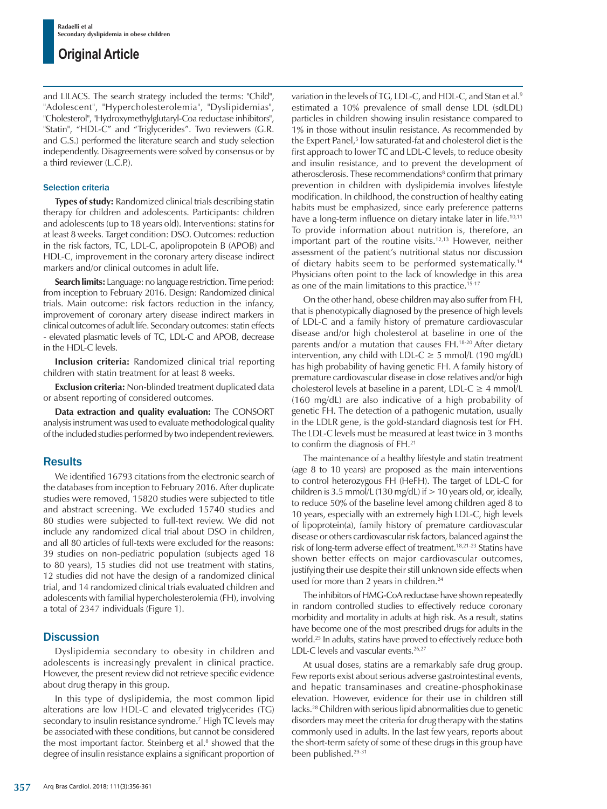### **Original Article**

and LILACS. The search strategy included the terms: "Child", "Adolescent", "Hypercholesterolemia", "Dyslipidemias", "Cholesterol", "Hydroxymethylglutaryl-Coa reductase inhibitors", "Statin", "HDL-C" and "Triglycerides". Two reviewers (G.R. and G.S.) performed the literature search and study selection independently. Disagreements were solved by consensus or by a third reviewer (L.C.P.).

#### Selection criteria

**Types of study:** Randomized clinical trials describing statin therapy for children and adolescents. Participants: children and adolescents (up to 18 years old). Interventions: statins for at least 8 weeks. Target condition: DSO. Outcomes: reduction in the risk factors, TC, LDL-C, apolipropotein B (APOB) and HDL-C, improvement in the coronary artery disease indirect markers and/or clinical outcomes in adult life.

**Search limits:** Language: no language restriction. Time period: from inception to February 2016. Design: Randomized clinical trials. Main outcome: risk factors reduction in the infancy, improvement of coronary artery disease indirect markers in clinical outcomes of adult life. Secondary outcomes: statin effects - elevated plasmatic levels of TC, LDL-C and APOB, decrease in the HDL-C levels.

**Inclusion criteria:** Randomized clinical trial reporting children with statin treatment for at least 8 weeks.

**Exclusion criteria:** Non-blinded treatment duplicated data or absent reporting of considered outcomes.

**Data extraction and quality evaluation:** The CONSORT analysis instrument was used to evaluate methodological quality of the included studies performed by two independent reviewers.

#### **Results**

We identified 16793 citations from the electronic search of the databases from inception to February 2016. After duplicate studies were removed, 15820 studies were subjected to title and abstract screening. We excluded 15740 studies and 80 studies were subjected to full-text review. We did not include any randomized clical trial about DSO in children, and all 80 articles of full-texts were excluded for the reasons: 39 studies on non-pediatric population (subjects aged 18 to 80 years), 15 studies did not use treatment with statins, 12 studies did not have the design of a randomized clinical trial, and 14 randomized clinical trials evaluated children and adolescents with familial hypercholesterolemia (FH), involving a total of 2347 individuals (Figure 1).

#### **Discussion**

Dyslipidemia secondary to obesity in children and adolescents is increasingly prevalent in clinical practice. However, the present review did not retrieve specific evidence about drug therapy in this group.

In this type of dyslipidemia, the most common lipid alterations are low HDL-C and elevated triglycerides (TG) secondary to insulin resistance syndrome.7 High TC levels may be associated with these conditions, but cannot be considered the most important factor. Steinberg et al.<sup>8</sup> showed that the degree of insulin resistance explains a significant proportion of

variation in the levels of TG, LDL-C, and HDL-C, and Stan et al.<sup>9</sup> estimated a 10% prevalence of small dense LDL (sdLDL) particles in children showing insulin resistance compared to 1% in those without insulin resistance. As recommended by the Expert Panel,<sup>5</sup> low saturated-fat and cholesterol diet is the first approach to lower TC and LDL-C levels, to reduce obesity and insulin resistance, and to prevent the development of atherosclerosis. These recommendations<sup>8</sup> confirm that primary prevention in children with dyslipidemia involves lifestyle modification. In childhood, the construction of healthy eating habits must be emphasized, since early preference patterns have a long-term influence on dietary intake later in life.<sup>10,11</sup> To provide information about nutrition is, therefore, an important part of the routine visits.12,13 However, neither assessment of the patient's nutritional status nor discussion of dietary habits seem to be performed systematically.14 Physicians often point to the lack of knowledge in this area as one of the main limitations to this practice.<sup>15-17</sup>

On the other hand, obese children may also suffer from FH, that is phenotypically diagnosed by the presence of high levels of LDL-C and a family history of premature cardiovascular disease and/or high cholesterol at baseline in one of the parents and/or a mutation that causes FH.<sup>18-20</sup> After dietary intervention, any child with LDL-C  $\geq$  5 mmol/L (190 mg/dL) has high probability of having genetic FH. A family history of premature cardiovascular disease in close relatives and/or high cholesterol levels at baseline in a parent,  $LDL-C \geq 4$  mmol/L (160 mg/dL) are also indicative of a high probability of genetic FH. The detection of a pathogenic mutation, usually in the LDLR gene, is the gold-standard diagnosis test for FH. The LDL-C levels must be measured at least twice in 3 months to confirm the diagnosis of FH.21

The maintenance of a healthy lifestyle and statin treatment (age 8 to 10 years) are proposed as the main interventions to control heterozygous FH (HeFH). The target of LDL-C for children is 3.5 mmol/L (130 mg/dL) if  $> 10$  years old, or, ideally, to reduce 50% of the baseline level among children aged 8 to 10 years, especially with an extremely high LDL-C, high levels of lipoprotein(a), family history of premature cardiovascular disease or others cardiovascular risk factors, balanced against the risk of long-term adverse effect of treatment.<sup>18,21-23</sup> Statins have shown better effects on major cardiovascular outcomes, justifying their use despite their still unknown side effects when used for more than 2 years in children.<sup>24</sup>

The inhibitors of HMG-CoA reductase have shown repeatedly in random controlled studies to effectively reduce coronary morbidity and mortality in adults at high risk. As a result, statins have become one of the most prescribed drugs for adults in the world.25 In adults, statins have proved to effectively reduce both LDL-C levels and vascular events.<sup>26,27</sup>

At usual doses, statins are a remarkably safe drug group. Few reports exist about serious adverse gastrointestinal events, and hepatic transaminases and creatine-phosphokinase elevation. However, evidence for their use in children still lacks.28 Children with serious lipid abnormalities due to genetic disorders may meet the criteria for drug therapy with the statins commonly used in adults. In the last few years, reports about the short-term safety of some of these drugs in this group have been published.29-31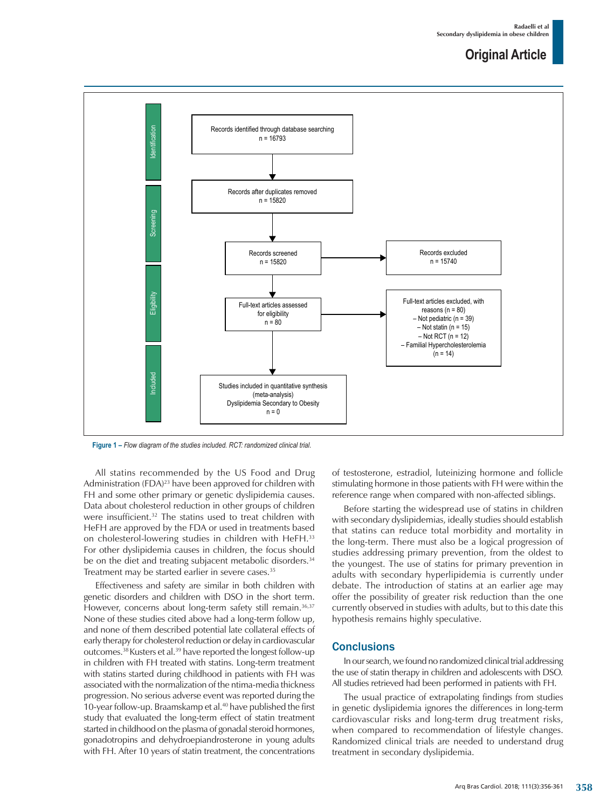### **Original Article**



**Figure 1 –** *Flow diagram of the studies included. RCT: randomized clinical trial.*

All statins recommended by the US Food and Drug Administration (FDA)<sup>23</sup> have been approved for children with FH and some other primary or genetic dyslipidemia causes. Data about cholesterol reduction in other groups of children were insufficient.32 The statins used to treat children with HeFH are approved by the FDA or used in treatments based on cholesterol-lowering studies in children with HeFH.<sup>33</sup> For other dyslipidemia causes in children, the focus should be on the diet and treating subjacent metabolic disorders.<sup>34</sup> Treatment may be started earlier in severe cases.<sup>35</sup>

Effectiveness and safety are similar in both children with genetic disorders and children with DSO in the short term. However, concerns about long-term safety still remain.<sup>36,37</sup> None of these studies cited above had a long-term follow up, and none of them described potential late collateral effects of early therapy for cholesterol reduction or delay in cardiovascular outcomes.38 Kusters et al.39 have reported the longest follow-up in children with FH treated with statins. Long-term treatment with statins started during childhood in patients with FH was associated with the normalization of the ntima-media thickness progression. No serious adverse event was reported during the 10-year follow-up. Braamskamp et al.<sup>40</sup> have published the first study that evaluated the long-term effect of statin treatment started in childhood on the plasma of gonadal steroid hormones, gonadotropins and dehydroepiandrosterone in young adults with FH. After 10 years of statin treatment, the concentrations of testosterone, estradiol, luteinizing hormone and follicle stimulating hormone in those patients with FH were within the reference range when compared with non-affected siblings.

Before starting the widespread use of statins in children with secondary dyslipidemias, ideally studies should establish that statins can reduce total morbidity and mortality in the long-term. There must also be a logical progression of studies addressing primary prevention, from the oldest to the youngest. The use of statins for primary prevention in adults with secondary hyperlipidemia is currently under debate. The introduction of statins at an earlier age may offer the possibility of greater risk reduction than the one currently observed in studies with adults, but to this date this hypothesis remains highly speculative.

#### **Conclusions**

In our search, we found no randomized clinical trial addressing the use of statin therapy in children and adolescents with DSO. All studies retrieved had been performed in patients with FH.

The usual practice of extrapolating findings from studies in genetic dyslipidemia ignores the differences in long-term cardiovascular risks and long-term drug treatment risks, when compared to recommendation of lifestyle changes. Randomized clinical trials are needed to understand drug treatment in secondary dyslipidemia.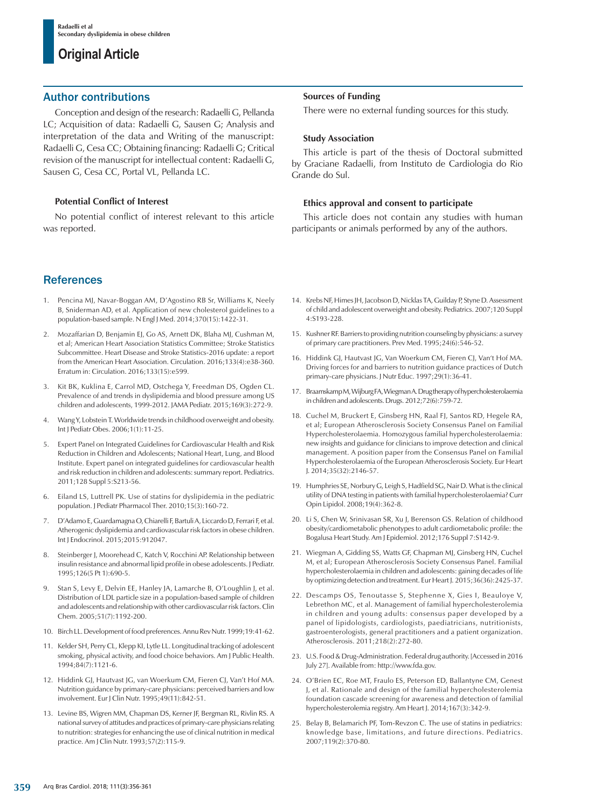### **Original Article**

#### Author contributions

Conception and design of the research: Radaelli G, Pellanda LC; Acquisition of data: Radaelli G, Sausen G; Analysis and interpretation of the data and Writing of the manuscript: Radaelli G, Cesa CC; Obtaining financing: Radaelli G; Critical revision of the manuscript for intellectual content: Radaelli G, Sausen G, Cesa CC, Portal VL, Pellanda LC.

#### **Potential Conflict of Interest**

No potential conflict of interest relevant to this article was reported.

### **References**

- 1. Pencina MJ, Navar-Boggan AM, D'Agostino RB Sr, Williams K, Neely B, Sniderman AD, et al. Application of new cholesterol guidelines to a population-based sample. N Engl J Med. 2014;370(15):1422-31.
- 2. Mozaffarian D, Benjamin EJ, Go AS, Arnett DK, Blaha MJ, Cushman M, et al; American Heart Association Statistics Committee; Stroke Statistics Subcommittee. Heart Disease and Stroke Statistics-2016 update: a report from the American Heart Association. Circulation. 2016;133(4):e38-360. Erratum in: Circulation. 2016;133(15):e599.
- Kit BK, Kuklina E, Carrol MD, Ostchega Y, Freedman DS, Ogden CL. Prevalence of and trends in dyslipidemia and blood pressure among US children and adolescents, 1999-2012. JAMA Pediatr. 2015;169(3):272-9.
- Wang Y, Lobstein T. Worldwide trends in childhood overweight and obesity. Int J Pediatr Obes. 2006;1(1):11-25.
- 5. Expert Panel on Integrated Guidelines for Cardiovascular Health and Risk Reduction in Children and Adolescents; National Heart, Lung, and Blood Institute. Expert panel on integrated guidelines for cardiovascular health and risk reduction in children and adolescents: summary report. Pediatrics. 2011;128 Suppl 5:S213-56.
- 6. Eiland LS, Luttrell PK. Use of statins for dyslipidemia in the pediatric population. J Pediatr Pharmacol Ther. 2010;15(3):160-72.
- 7. D'Adamo E, Guardamagna O, Chiarelli F, Bartuli A, Liccardo D, Ferrari F, et al. Atherogenic dyslipidemia and cardiovascular risk factors in obese children. Int J Endocrinol. 2015;2015:912047.
- 8. Steinberger J, Moorehead C, Katch V, Rocchini AP. Relationship between insulin resistance and abnormal lipid profile in obese adolescents. J Pediatr. 1995;126(5 Pt 1):690-5.
- 9. Stan S, Levy E, Delvin EE, Hanley JA, Lamarche B, O'Loughlin J, et al. Distribution of LDL particle size in a population-based sample of children and adolescents and relationship with other cardiovascular risk factors. Clin Chem. 2005;51(7):1192-200.
- 10. Birch LL. Development of food preferences. Annu Rev Nutr. 1999;19:41-62.
- 11. Kelder SH, Perry CL, Klepp KI, Lytle LL. Longitudinal tracking of adolescent smoking, physical activity, and food choice behaviors. Am J Public Health. 1994;84(7):1121-6.
- 12. Hiddink GJ, Hautvast JG, van Woerkum CM, Fieren CJ, Van't Hof MA. Nutrition guidance by primary-care physicians: perceived barriers and low involvement. Eur J Clin Nutr. 1995;49(11):842-51.
- 13. Levine BS, Wigren MM, Chapman DS, Kerner JF, Bergman RL, Rivlin RS. A national survey of attitudes and practices of primary-care physicians relating to nutrition: strategies for enhancing the use of clinical nutrition in medical practice. Am J Clin Nutr. 1993;57(2):115-9.

#### **Sources of Funding**

There were no external funding sources for this study.

#### **Study Association**

This article is part of the thesis of Doctoral submitted by Graciane Radaelli, from Instituto de Cardiologia do Rio Grande do Sul.

#### **Ethics approval and consent to participate**

This article does not contain any studies with human participants or animals performed by any of the authors.

- 14. Krebs NF, Himes JH, Jacobson D, Nicklas TA, Guilday P, Styne D. Assessment of child and adolescent overweight and obesity. Pediatrics. 2007;120 Suppl 4:S193-228.
- 15. Kushner RF. Barriers to providing nutrition counseling by physicians: a survey of primary care practitioners. Prev Med. 1995;24(6):546-52.
- 16. Hiddink GJ, Hautvast JG, Van Woerkum CM, Fieren CJ, Van't Hof MA. Driving forces for and barriers to nutrition guidance practices of Dutch primary-care physicians. J Nutr Educ. 1997;29(1):36-41.
- 17. Braamskamp M, Wijburg FA, Wiegman A. Drug therapy of hypercholesterolaemia in children and adolescents. Drugs. 2012;72(6):759-72.
- 18. Cuchel M, Bruckert E, Ginsberg HN, Raal FJ, Santos RD, Hegele RA, et al; European Atherosclerosis Society Consensus Panel on Familial Hypercholesterolaemia. Homozygous familial hypercholesterolaemia: new insights and guidance for clinicians to improve detection and clinical management. A position paper from the Consensus Panel on Familial Hypercholesterolaemia of the European Atherosclerosis Society. Eur Heart J. 2014;35(32):2146-57.
- 19. Humphries SE, Norbury G, Leigh S, Hadfield SG, Nair D. What is the clinical utility of DNA testing in patients with familial hypercholesterolaemia? Curr Opin Lipidol. 2008;19(4):362-8.
- 20. Li S, Chen W, Srinivasan SR, Xu J, Berenson GS. Relation of childhood obesity/cardiometabolic phenotypes to adult cardiometabolic profile: the Bogalusa Heart Study. Am J Epidemiol. 2012;176 Suppl 7:S142-9.
- 21. Wiegman A, Gidding SS, Watts GF, Chapman MJ, Ginsberg HN, Cuchel M, et al; European Atherosclerosis Society Consensus Panel. Familial hypercholesterolaemia in children and adolescents: gaining decades of life by optimizing detection and treatment. Eur Heart J. 2015;36(36):2425-37.
- 22. Descamps OS, Tenoutasse S, Stephenne X, Gies I, Beauloye V, Lebrethon MC, et al. Management of familial hypercholesterolemia in children and young adults: consensus paper developed by a panel of lipidologists, cardiologists, paediatricians, nutritionists, gastroenterologists, general practitioners and a patient organization. Atherosclerosis. 2011;218(2):272-80.
- 23. U.S. Food & Drug-Administration. Federal drug authority. [Accessed in 2016 July 27]. Available from: http://www.fda.gov.
- 24. O'Brien EC, Roe MT, Fraulo ES, Peterson ED, Ballantyne CM, Genest J, et al. Rationale and design of the familial hypercholesterolemia foundation cascade screening for awareness and detection of familial hypercholesterolemia registry. Am Heart J. 2014;167(3):342-9.
- 25. Belay B, Belamarich PF, Tom-Revzon C. The use of statins in pediatrics: knowledge base, limitations, and future directions. Pediatrics. 2007;119(2):370-80.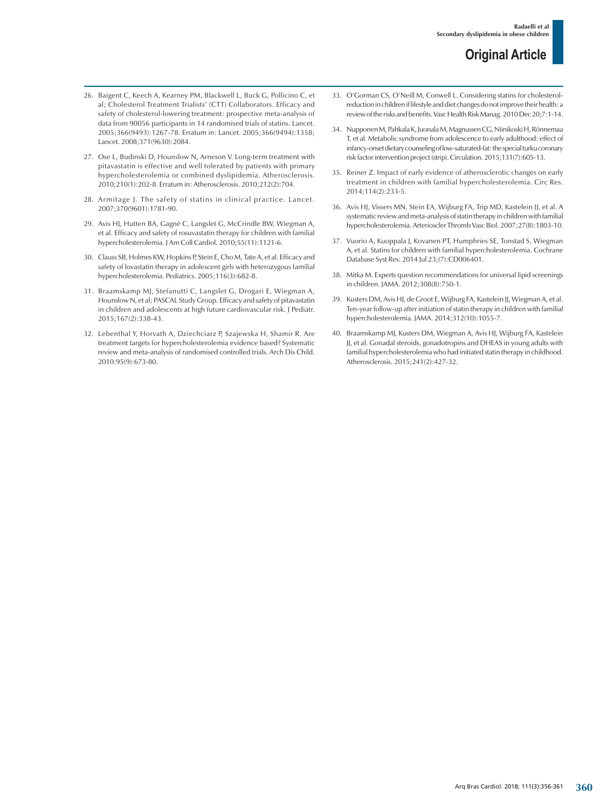- 26. Baigent C, Keech A, Kearney PM, Blackwell L, Buck G, Pollicino C, et al; Cholesterol Treatment Trialists' (CTT) Collaborators. Efficacy and safety of cholesterol-lowering treatment: prospective meta-analysis of data from 90056 participants in 14 randomised trials of statins. Lancet. 2005;366(9493):1267-78. Erratum in: Lancet. 2005;366(9494):1358; Lancet. 2008;371(9630):2084.
- 27. Ose L, Budinski D, Hounslow N, Arneson V. Long-term treatment with pitavastatin is effective and well tolerated by patients with primary hypercholesterolemia or combined dyslipidemia. Atherosclerosis. 2010;210(1):202-8. Erratum in: Atherosclerosis. 2010;212(2):704.
- 28. Armitage J. The safety of statins in clinical practice. Lancet. 2007;370(9601):1781-90.
- 29. Avis HJ, Hutten BA, Gagné C, Langslet G, McCrindle BW, Wiegman A, et al. Efficacy and safety of rosuvastatin therapy for children with familial hypercholesterolemia. J Am Coll Cardiol. 2010;55(11):1121-6.
- 30. Clauss SB, Holmes KW, Hopkins P, Stein E, Cho M, Tate A, et al. Efficacy and safety of lovastatin therapy in adolescent girls with heterozygous familial hypercholesterolemia. Pediatrics. 2005;116(3):682-8.
- 31. Braamskamp MJ, Stefanutti C, Langslet G, Drogari E, Wiegman A, Hounslow N, et al; PASCAL Study Group. Efficacy and safety of pitavastatin in children and adolescents at high future cardiovascular risk. J Pediatr. 2015;167(2):338-43.
- 32. Lebenthal Y, Horvath A, Dziechciarz P, Szajewska H, Shamir R. Are treatment targets for hypercholesterolemia evidence based? Systematic review and meta-analysis of randomised controlled trials. Arch Dis Child. 2010:95(9):673-80.
- 33. O'Gorman CS, O'Neill M, Conwell L. Considering statins for cholesterolreduction in children if lifestyle and diet changes do not improve their health: a review of the risks and benefits. Vasc Health Risk Manag. 2010 Dec 20;7:1-14.
- 34. Nupponen M, Pahkala K, Juonala M, Magnussen CG, Niinikoski H, Rönnemaa T, et al. Metabolic syndrome from adolescence to early adulthood: effect of infancy-onset dietary counseling of low-saturated-fat: the special turku coronary risk factor intervention project (strip). Circulation. 2015;131(7):605-13.
- 35. Reiner Z. Impact of early evidence of atherosclerotic changes on early treatment in children with familial hypercholesterolemia. Circ Res. 2014;114(2):233-5.
- 36. Avis HJ, Vissers MN, Stein EA, Wijburg FA, Trip MD, Kastelein JJ, et al. A systematic review and meta-analysis of statin therapy in children with familial hypercholesterolemia. Arterioscler Thromb Vasc Biol. 2007;27(8):1803-10.
- 37. Vuorio A, Kuoppala J, Kovanen PT, Humphries SE, Tonstad S, Wiegman A, et al. Statins for children with familial hypercholesterolemia. Cochrane Database Syst Rev. 2014 Jul 23;(7):CD006401.
- 38. Mitka M. Experts question recommendations for universal lipid screenings in children. JAMA. 2012;308(8):750-1.
- 39. Kusters DM, Avis HJ, de Groot E, Wijburg FA, Kastelein JJ, Wiegman A, et al. Ten-year follow-up after initiation of statin therapy in children with familial hypercholesterolemia. JAMA. 2014;312(10):1055-7.
- 40. Braamskamp MJ, Kusters DM, Wiegman A, Avis HJ, Wijburg FA, Kastelein JJ, et al. Gonadal steroids, gonadotropins and DHEAS in young adults with familial hypercholesterolemia who had initiated statin therapy in childhood. Atherosclerosis. 2015;241(2):427-32.